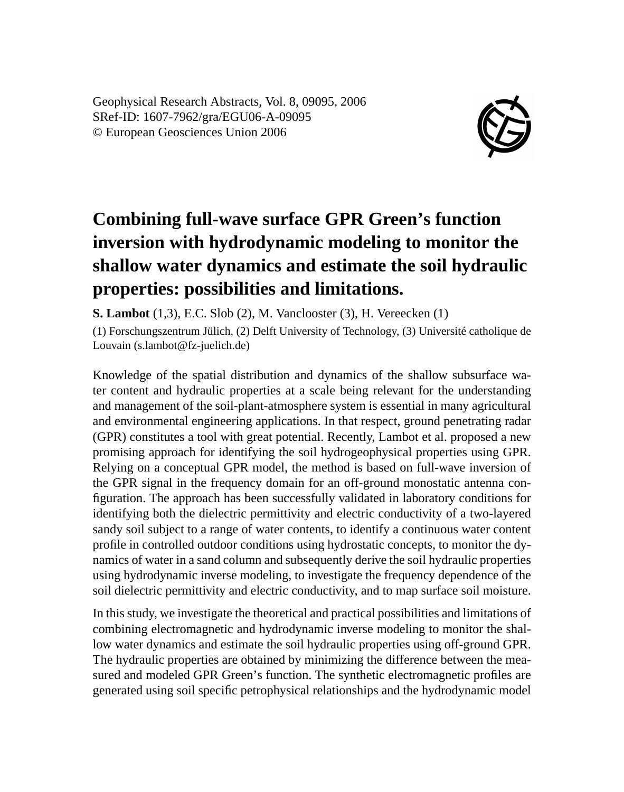Geophysical Research Abstracts, Vol. 8, 09095, 2006 SRef-ID: 1607-7962/gra/EGU06-A-09095 © European Geosciences Union 2006



## **Combining full-wave surface GPR Green's function inversion with hydrodynamic modeling to monitor the shallow water dynamics and estimate the soil hydraulic properties: possibilities and limitations.**

**S. Lambot** (1,3), E.C. Slob (2), M. Vanclooster (3), H. Vereecken (1)

(1) Forschungszentrum Jülich, (2) Delft University of Technology, (3) Université catholique de Louvain (s.lambot@fz-juelich.de)

Knowledge of the spatial distribution and dynamics of the shallow subsurface water content and hydraulic properties at a scale being relevant for the understanding and management of the soil-plant-atmosphere system is essential in many agricultural and environmental engineering applications. In that respect, ground penetrating radar (GPR) constitutes a tool with great potential. Recently, Lambot et al. proposed a new promising approach for identifying the soil hydrogeophysical properties using GPR. Relying on a conceptual GPR model, the method is based on full-wave inversion of the GPR signal in the frequency domain for an off-ground monostatic antenna configuration. The approach has been successfully validated in laboratory conditions for identifying both the dielectric permittivity and electric conductivity of a two-layered sandy soil subject to a range of water contents, to identify a continuous water content profile in controlled outdoor conditions using hydrostatic concepts, to monitor the dynamics of water in a sand column and subsequently derive the soil hydraulic properties using hydrodynamic inverse modeling, to investigate the frequency dependence of the soil dielectric permittivity and electric conductivity, and to map surface soil moisture.

In this study, we investigate the theoretical and practical possibilities and limitations of combining electromagnetic and hydrodynamic inverse modeling to monitor the shallow water dynamics and estimate the soil hydraulic properties using off-ground GPR. The hydraulic properties are obtained by minimizing the difference between the measured and modeled GPR Green's function. The synthetic electromagnetic profiles are generated using soil specific petrophysical relationships and the hydrodynamic model